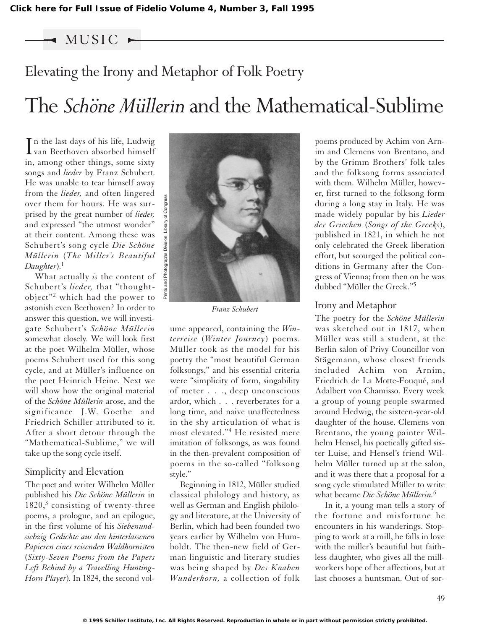MUSIC

# Elevating the Irony and Metaphor of Folk Poetry

# The *Schöne Müllerin* and the Mathematical-Sublime

In the last days of his life, Ludwig<br>van Beethoven absorbed himself n the last days of his life, Ludwig in, among other things, some sixty songs and *lieder* by Franz Schubert. He was unable to tear himself away from the *lieder,* and often lingered over them for hours. He was surprised by the great number of *lieder,* and expressed "the utmost wonder" at their content. Among these was Schubert's song cycle *Die Schöne Müllerin* (*The Miller's Beautiful Daughter*).1

What actually *is* the content of Schubert's *lieder,* that "thoughtobject"<sup>2</sup> which had the power to astonish even Beethoven? In order to answer this question, we will investigate Schubert's *Schöne Müllerin* somewhat closely. We will look first at the poet Wilhelm Müller, whose poems Schubert used for this song cycle, and at Müller's influence on the poet Heinrich Heine. Next we will show how the original material of the *Schöne Müllerin* arose, and the significance J.W. Goethe and Friedrich Schiller attributed to it. After a short detour through the "Mathematical-Sublime," we will take up the song cycle itself.

# Simplicity and Elevation

The poet and writer Wilhelm Müller published his *Die Schöne Müllerin* in  $1820<sup>3</sup>$  consisting of twenty-three poems, a prologue, and an epilogue, in the first volume of his *Siebenundsiebzig Gedichte aus den hinterlassenen Papieren eines reisenden Waldhornisten* (*Sixty-Seven Poems from the Papers Left Behind by a Travelling Hunting-Horn Player*). In 1824, the second vol-



*Franz Schubert*

ume appeared, containing the *Winterreise* (*Winter Journey*) poems. Müller took as the model for his poetry the "most beautiful German folksongs," and his essential criteria were "simplicity of form, singability of meter . . ., deep unconscious ardor, which . . . reverberates for a long time, and naive unaffectedness in the shy articulation of what is most elevated."<sup>4</sup> He resisted mere imitation of folksongs, as was found in the then-prevalent composition of poems in the so-called "folksong style."

Beginning in 1812, Müller studied classical philology and history, as well as German and English philology and literature, at the University of Berlin, which had been founded two years earlier by Wilhelm von Humboldt. The then-new field of German linguistic and literary studies was being shaped by *Des Knaben Wunderhorn,* a collection of folk

poems produced by Achim von Arnim and Clemens von Brentano, and by the Grimm Brothers' folk tales and the folksong forms associated with them. Wilhelm Müller, however, first turned to the folksong form during a long stay in Italy. He was made widely popular by his *Lieder der Griechen* (*Songs of the Greeks*), published in 1821, in which he not only celebrated the Greek liberation effort, but scourged the political conditions in Germany after the Congress of Vienna; from then on he was dubbed "Müller the Greek."5

# Irony and Metaphor

The poetry for the *Schöne Müllerin* was sketched out in 1817, when Müller was still a student, at the Berlin salon of Privy Councillor von Stägemann, whose closest friends included Achim von Arnim, Friedrich de La Motte-Fouqué, and Adalbert von Chamisso. Every week a group of young people swarmed around Hedwig, the sixteen-year-old daughter of the house. Clemens von Brentano, the young painter Wilhelm Hensel, his poetically gifted sister Luise, and Hensel's friend Wilhelm Müller turned up at the salon, and it was there that a proposal for a song cycle stimulated Müller to write what became *Die Schöne Müllerin.*<sup>6</sup>

In it, a young man tells a story of the fortune and misfortune he encounters in his wanderings. Stopping to work at a mill, he falls in love with the miller's beautiful but faithless daughter, who gives all the millworkers hope of her affections, but at last chooses a huntsman. Out of sor-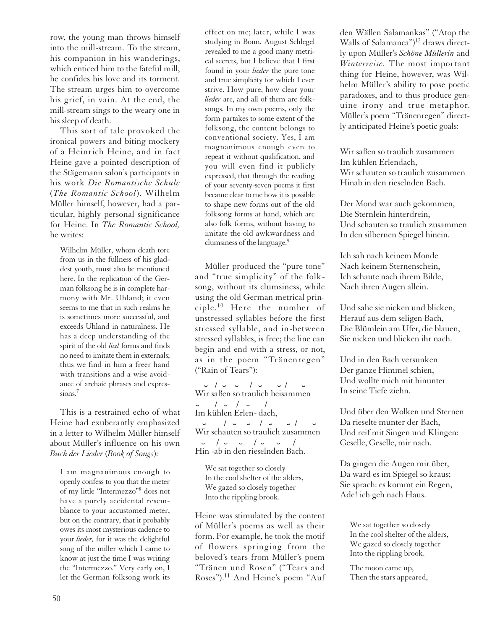row, the young man throws himself into the mill-stream. To the stream, his companion in his wanderings, which enticed him to the fateful mill, he confides his love and its torment. The stream urges him to overcome his grief, in vain. At the end, the mill-stream sings to the weary one in his sleep of death.

This sort of tale provoked the ironical powers and biting mockery of a Heinrich Heine, and in fact Heine gave a pointed description of the Stägemann salon's participants in his work *Die Romantische Schule* (*The Romantic School*). Wilhelm Müller himself, however, had a particular, highly personal significance for Heine. In *The Romantic School,* he writes:

Wilhelm Müller, whom death tore from us in the fullness of his gladdest youth, must also be mentioned here. In the replication of the German folksong he is in complete harmony with Mr. Uhland; it even seems to me that in such realms he is sometimes more successful, and exceeds Uhland in naturalness. He has a deep understanding of the spirit of the old *lied* forms and finds no need to imitate them in externals; thus we find in him a freer hand with transitions and a wise avoidance of archaic phrases and expressions.<sup>7</sup>

This is a restrained echo of what Heine had exuberantly emphasized in a letter to Wilhelm Müller himself about Müller's influence on his own *Buch der Lieder* (*Book of Songs*):

I am magnanimous enough to openly confess to you that the meter of my little "Intermezzo"8 does not have a purely accidental resemblance to your accustomed meter, but on the contrary, that it probably owes its most mysterious cadence to your *lieder,* for it was the delightful song of the miller which I came to know at just the time I was writing the "Intermezzo." Very early on, I let the German folksong work its

effect on me; later, while I was studying in Bonn, August Schlegel revealed to me a good many metrical secrets, but I believe that I first found in your *lieder* the pure tone and true simplicity for which I ever strive. How pure, how clear your *lieder* are, and all of them are folksongs. In my own poems, only the form partakes to some extent of the folksong, the content belongs to conventional society. Yes, I am magnanimous enough even to repeat it without qualification, and you will even find it publicly expressed, that through the reading of your seventy-seven poems it first became clear to me how it is possible to shape new forms out of the old folksong forms at hand, which are also folk forms, without having to imitate the old awkwardness and clumsiness of the language.<sup>9</sup>

Müller produced the "pure tone" and "true simplicity" of the folksong, without its clumsiness, while using the old German metrical principle.<sup>10</sup> Here the number of unstressed syllables before the first stressed syllable, and in-between stressed syllables, is free; the line can begin and end with a stress, or not, as in the poem "Tränenregen" ("Rain of Tears"):

˘ / ˘ ˘ / ˘ ˘ / <sup>W</sup> ˘ ir saßen so traulich beisammen ˘ / ˘ / ˘ / Im kühlen Erlen- dach,  $\frac{1}{\sqrt{2}}$  /  $\frac{1}{\sqrt{2}}$  /  $\frac{1}{\sqrt{2}}$  /  $\frac{1}{\sqrt{2}}$  /  $\frac{1}{\sqrt{2}}$  /  $\frac{1}{\sqrt{2}}$  /  $\frac{1}{\sqrt{2}}$  /  $\frac{1}{\sqrt{2}}$  /  $\frac{1}{\sqrt{2}}$  /  $\frac{1}{\sqrt{2}}$  /  $\frac{1}{\sqrt{2}}$  /  $\frac{1}{\sqrt{2}}$  /  $\frac{1}{\sqrt{2}}$  /  $\frac{1}{\sqrt{2}}$  /  $\frac{1}{\sqrt{2}}$ ˘ / ˘ ˘ / ˘ ˘ / Hin -ab in den rieselnden Bach.

We sat together so closely In the cool shelter of the alders, We gazed so closely together Into the rippling brook.

Heine was stimulated by the content of Müller's poems as well as their form. For example, he took the motif of flowers springing from the beloved's tears from Müller's poem "Tränen und Rosen" ("Tears and Roses").<sup>11</sup> And Heine's poem "Auf

den Wällen Salamankas" ("Atop the Walls of Salamanca")<sup>12</sup> draws directly upon Müller's *Schöne Müllerin* and *Winterreise.* The most important thing for Heine, however, was Wilhelm Müller's ability to pose poetic paradoxes, and to thus produce genuine irony and true metaphor. Müller's poem "Tränenregen" directly anticipated Heine's poetic goals:

Wir saßen so traulich zusammen Im kühlen Erlendach, Wir schauten so traulich zusammen Hinab in den rieselnden Bach.

Der Mond war auch gekommen, Die Sternlein hinterdrein, Und schauten so traulich zusammen In den silbernen Spiegel hinein.

Ich sah nach keinem Monde Nach keinem Sternenschein, Ich schaute nach ihrem Bilde, Nach ihren Augen allein.

Und sahe sie nicken und blicken, Herauf aus dem seligen Bach, Die Blümlein am Ufer, die blauen, Sie nicken und blicken ihr nach.

Und in den Bach versunken Der ganze Himmel schien, Und wollte mich mit hinunter In seine Tiefe ziehn.

Und über den Wolken und Sternen Da rieselte munter der Bach, Und reif mit Singen und Klingen: Geselle, Geselle, mir nach.

Da gingen die Augen mir über, Da ward es im Spiegel so kraus; Sie sprach: es kommt ein Regen, Ade! ich geh nach Haus.

We sat together so closely In the cool shelter of the alders, We gazed so closely together Into the rippling brook.

The moon came up, Then the stars appeared,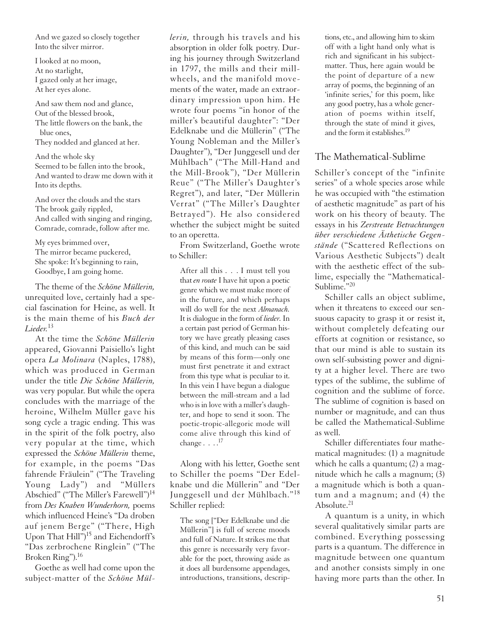And we gazed so closely together Into the silver mirror.

I looked at no moon, At no starlight, I gazed only at her image, At her eyes alone.

And saw them nod and glance, Out of the blessed brook, The little flowers on the bank, the blue ones, They nodded and glanced at her.

And the whole sky Seemed to be fallen into the brook, And wanted to draw me down with it Into its depths.

And over the clouds and the stars The brook gaily rippled, And called with singing and ringing, Comrade, comrade, follow after me.

My eyes brimmed over, The mirror became puckered, She spoke: It's beginning to rain, Goodbye, I am going home.

The theme of the *Schöne Müllerin,* unrequited love, certainly had a special fascination for Heine, as well. It is the main theme of his *Buch der Lieder.*<sup>13</sup>

At the time the *Schöne Müllerin* appeared, Giovanni Paisiello's light opera *La Molinara* (Naples, 1788), which was produced in German under the title *Die Schöne Müllerin,* was very popular. But while the opera concludes with the marriage of the heroine, Wilhelm Müller gave his song cycle a tragic ending. This was in the spirit of the folk poetry, also very popular at the time, which expressed the *Schöne Müllerin* theme, for example, in the poems "Das fahrende Fräulein" ("The Traveling Young Lady") and "Müllers Abschied" ("The Miller's Farewell")<sup>14</sup> from *Des Knaben Wunderhorn,* poems which influenced Heine's "Da droben auf jenem Berge" ("There, High Upon That Hill")<sup>15</sup> and Eichendorff's "Das zerbrochene Ringlein" ("The Broken Ring").16

Goethe as well had come upon the subject-matter of the *Schöne Mül-* *lerin,* through his travels and his absorption in older folk poetry. During his journey through Switzerland in 1797, the mills and their millwheels, and the manifold movements of the water, made an extraordinary impression upon him. He wrote four poems "in honor of the miller's beautiful daughter": "Der Edelknabe und die Müllerin" ("The Young Nobleman and the Miller's Daughter"), "Der Junggesell und der Mühlbach" ("The Mill-Hand and the Mill-Brook"), "Der Müllerin Reue" ("The Miller's Daughter's Regret"), and later, "Der Müllerin Verrat" ("The Miller's Daughter Betrayed"). He also considered whether the subject might be suited to an operetta.

From Switzerland, Goethe wrote to Schiller:

After all this . . . I must tell you that *en route* I have hit upon a poetic genre which we must make more of in the future, and which perhaps will do well for the next *Almanach.* It is dialogue in the form of *lieder.*In a certain past period of German history we have greatly pleasing cases of this kind, and much can be said by means of this form—only one must first penetrate it and extract from this type what is peculiar to it. In this vein I have begun a dialogue between the mill-stream and a lad who is in love with a miller's daughter, and hope to send it soon. The poetic-tropic-allegoric mode will come alive through this kind of change  $\ldots$ .<sup>17</sup>

Along with his letter, Goethe sent to Schiller the poems "Der Edelknabe und die Müllerin" and "Der Junggesell und der Mühlbach."<sup>18</sup> Schiller replied:

The song ["Der Edelknabe und die Müllerin"] is full of serene moods and full of Nature. It strikes me that this genre is necessarily very favorable for the poet, throwing aside as it does all burdensome appendages, introductions, transitions, descriptions, etc., and allowing him to skim off with a light hand only what is rich and significant in his subjectmatter. Thus, here again would be the point of departure of a new array of poems, the beginning of an 'infinite series,' for this poem, like any good poetry, has a whole generation of poems within itself, through the state of mind it gives, and the form it establishes.19

# The Mathematical-Sublime

Schiller's concept of the "infinite series" of a whole species arose while he was occupied with "the estimation of aesthetic magnitude" as part of his work on his theory of beauty. The essays in his *Zerstreute Betrachtungen über verschiedene Ästhetische Gegenstände* ("Scattered Reflections on Various Aesthetic Subjects") dealt with the aesthetic effect of the sublime, especially the "Mathematical-Sublime."20

Schiller calls an object sublime, when it threatens to exceed our sensuous capacity to grasp it or resist it, without completely defeating our efforts at cognition or resistance, so that our mind is able to sustain its own self-subsisting power and dignity at a higher level. There are two types of the sublime, the sublime of cognition and the sublime of force. The sublime of cognition is based on number or magnitude, and can thus be called the Mathematical-Sublime as well.

Schiller differentiates four mathematical magnitudes: (1) a magnitude which he calls a quantum; (2) a magnitude which he calls a magnum; (3) a magnitude which is both a quantum and a magnum; and (4) the Absolute<sup>21</sup>

A quantum is a unity, in which several qualitatively similar parts are combined. Everything possessing parts is a quantum. The difference in magnitude between one quantum and another consists simply in one having more parts than the other. In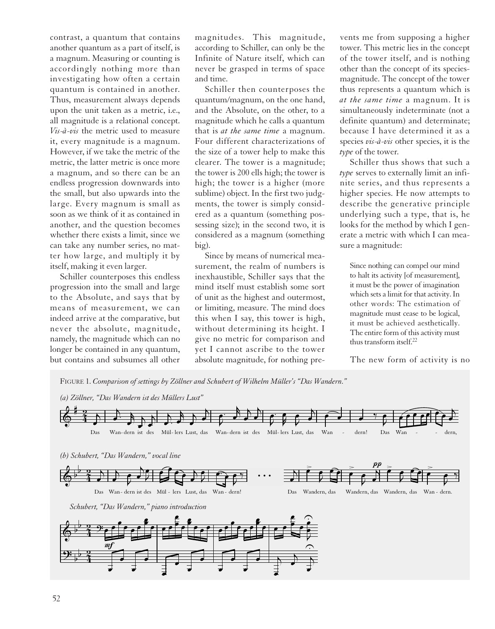contrast, a quantum that contains another quantum as a part of itself, is a magnum. Measuring or counting is accordingly nothing more than investigating how often a certain quantum is contained in another. Thus, measurement always depends upon the unit taken as a metric, i.e., all magnitude is a relational concept. *Vis-à-vis* the metric used to measure it, every magnitude is a magnum. However, if we take the metric of the metric, the latter metric is once more a magnum, and so there can be an endless progression downwards into the small, but also upwards into the large. Every magnum is small as soon as we think of it as contained in another, and the question becomes whether there exists a limit, since we can take any number series, no matter how large, and multiply it by itself, making it even larger. that a state of the control of the control of the control of the control of the control of the control of the control of the control of the control of the control of the control of the control of the control of the control

Schiller counterposes this endless progression into the small and large to the Absolute, and says that by means of measurement, we can indeed arrive at the comparative, but never the absolute, magnitude, namely, the magnitude which can no longer be contained in any quantum, but contains and subsumes all other

magnitudes. This magnitude, according to Schiller, can only be the Infinite of Nature itself, which can never be grasped in terms of space and time.

Schiller then counterposes the quantum/magnum, on the one hand, and the Absolute, on the other, to a magnitude which he calls a quantum that is *at the same time* a magnum. Four different characterizations of the size of a tower help to make this clearer. The tower is a magnitude; the tower is 200 ells high; the tower is high; the tower is a higher (more sublime) object. In the first two judgments, the tower is simply considered as a quantum (something possessing size); in the second two, it is considered as a magnum (something big).

Since by means of numerical measurement, the realm of numbers is inexhaustible, Schiller says that the mind itself must establish some sort of unit as the highest and outermost, or limiting, measure. The mind does this when I say, this tower is high, without determining its height. I give no metric for comparison and yet I cannot ascribe to the tower absolute magnitude, for nothing pre-

vents me from supposing a higher tower. This metric lies in the concept of the tower itself, and is nothing other than the concept of its speciesmagnitude. The concept of the tower thus represents a quantum which is *at the same time* a magnum. It is simultaneously indeterminate (not a definite quantum) and determinate; because I have determined it as a species *vis-à-vis* other species, it is the *type* of the tower.

Schiller thus shows that such a *type* serves to externally limit an infinite series, and thus represents a higher species. He now attempts to describe the generative principle underlying such a type, that is, he looks for the method by which I generate a metric with which I can measure a magnitude:

Since nothing can compel our mind to halt its activity [of measurement], it must be the power of imagination which sets a limit for that activity. In other words: The estimation of magnitude must cease to be logical, it must be achieved aesthetically. The entire form of this activity must thus transform itself.22

The new form of activity is no

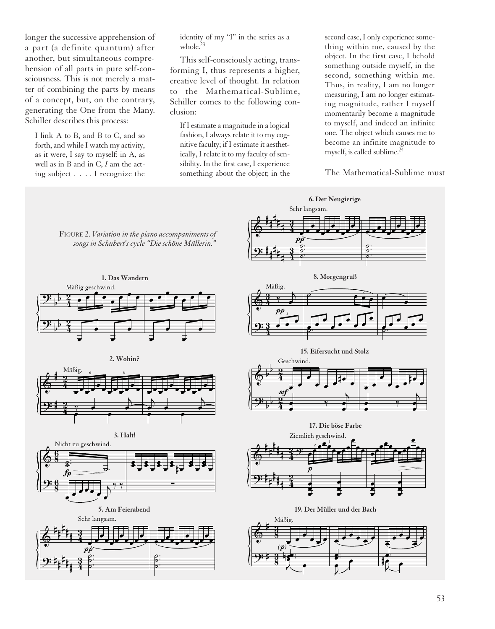longer the successive apprehension of a part (a definite quantum) after another, but simultaneous comprehension of all parts in pure self-consciousness. This is not merely a matter of combining the parts by means of a concept, but, on the contrary, generating the One from the Many. Schiller describes this process:

I link A to B, and B to C, and so forth, and while I watch my activity, as it were, I say to myself: in A, as well as in B and in C, *I* am the acting subject . . . . I recognize the

identity of my "I" in the series as a whole.23

This self-consciously acting, transforming I, thus represents a higher, creative level of thought. In relation to the Mathematical-Sublime, Schiller comes to the following conclusion:

If I estimate a magnitude in a logical fashion, I always relate it to my cognitive faculty; if I estimate it aesthetically, I relate it to my faculty of sensibility. In the first case, I experience something about the object; in the second case, I only experience something within me, caused by the object. In the first case, I behold something outside myself, in the second, something within me. Thus, in reality, I am no longer measuring, I am no longer estimating magnitude, rather I myself momentarily become a magnitude to myself, and indeed an infinite one. The object which causes me to become an infinite magnitude to myself, is called sublime. $24$ 

The Mathematical-Sublime must

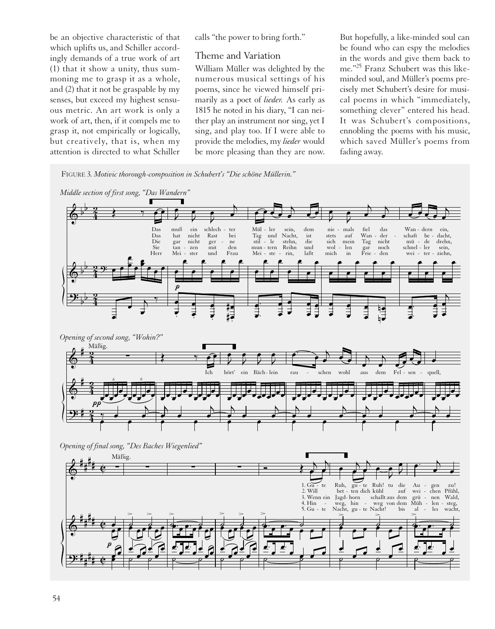be an objective characteristic of that which uplifts us, and Schiller accordingly demands of a true work of art (1) that it show a unity, thus summoning me to grasp it as a whole, and (2) that it not be graspable by my senses, but exceed my highest sensuous metric. An art work is only a work of art, then, if it compels me to grasp it, not empirically or logically, but creatively, that is, when my attention is directed to what Schiller aracteris<br>
ind Schill<br>
i a true w<br>
i unity, t<br>
i as graspa<br>
implified in the set of the set of the set of the set of the set of the set of the set of the set of the set of the set of the set of the set of the set of the se

calls "the power to bring forth."

# Theme and Variation

William Müller was delighted by the numerous musical settings of his poems, since he viewed himself primarily as a poet of *lieder.* As early as 1815 he noted in his diary, "I can neither play an instrument nor sing, yet I sing, and play too. If I were able to provide the melodies, my *lieder* would be more pleasing than they are now. But hopefully, a like-minded soul can be found who can espy the melodies in the words and give them back to me."25 Franz Schubert was this likeminded soul, and Müller's poems precisely met Schubert's desire for musical poems in which "immediately, something clever" entered his head. It was Schubert's compositions, ennobling the poems with his music, which saved Müller's poems from fading away.

FIGURE 3*. Motivic thorough-composition in Schubert's "Die schöne Müllerin."*

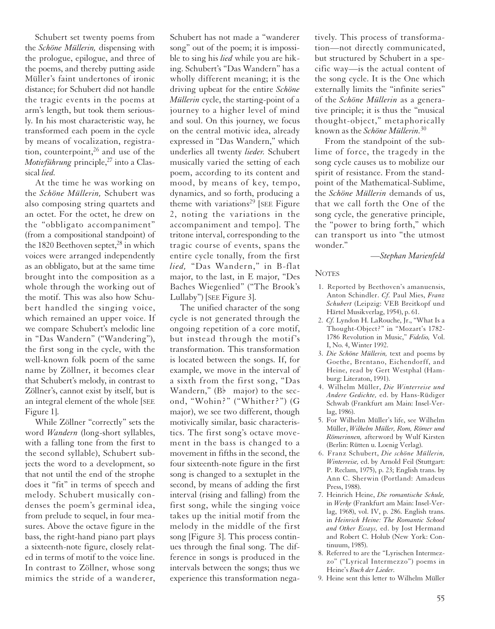Schubert set twenty poems from the *Schöne Müllerin,* dispensing with the prologue, epilogue, and three of the poems, and thereby putting aside Müller's faint undertones of ironic distance; for Schubert did not handle the tragic events in the poems at arm's length, but took them seriously. In his most characteristic way, he transformed each poem in the cycle by means of vocalization, registration, counterpoint, $2^6$  and use of the *Motivführung* principle,<sup>27</sup> into a Classical *lied.*

At the time he was working on the *Schöne Müllerin,* Schubert was also composing string quartets and an octet. For the octet, he drew on the "obbligato accompaniment" (from a compositional standpoint) of the 1820 Beethoven septet, $28$  in which voices were arranged independently as an obbligato, but at the same time brought into the composition as a whole through the working out of the motif. This was also how Schubert handled the singing voice, which remained an upper voice. If we compare Schubert's melodic line in "Das Wandern" ("Wandering"), the first song in the cycle, with the well-known folk poem of the same name by Zöllner, it becomes clear that Schubert's melody, in contrast to Zöllner's, cannot exist by itself, but is an integral element of the whole [SEE Figure 1].

While Zöllner "correctly" sets the word *Wandern* (long-short syllables, with a falling tone from the first to the second syllable), Schubert subjects the word to a development, so that not until the end of the strophe does it "fit" in terms of speech and melody. Schubert musically condenses the poem's germinal idea, from prelude to sequel, in four measures. Above the octave figure in the bass, the right-hand piano part plays a sixteenth-note figure, closely related in terms of motif to the voice line. In contrast to Zöllner, whose song mimics the stride of a wanderer,

Schubert has not made a "wanderer song" out of the poem; it is impossible to sing his *lied* while you are hiking. Schubert's "Das Wandern" has a wholly different meaning; it is the driving upbeat for the entire *Schöne Müllerin* cycle, the starting-point of a journey to a higher level of mind and soul. On this journey, we focus on the central motivic idea, already expressed in "Das Wandern," which underlies all twenty *lieder.* Schubert musically varied the setting of each poem, according to its content and mood, by means of key, tempo, dynamics, and so forth, producing a theme with variations<sup>29</sup> [SEE Figure 2, noting the variations in the accompaniment and tempo]. The tritone interval, corresponding to the tragic course of events, spans the entire cycle tonally, from the first *lied,* "Das Wandern," in B-flat major, to the last, in E major, "Des Baches Wiegenlied" ("The Brook's Lullaby") [SEE Figure 3].

The unified character of the song cycle is not generated through the ongoing repetition of a core motif, but instead through the motif's transformation. This transformation is located between the songs. If, for example, we move in the interval of a sixth from the first song, "Das Wandern,"  $(B\flat \text{ major})$  to the second, "Wohin?" ("Whither?") (G major), we see two different, though motivically similar, basic characteristics. The first song's octave movement in the bass is changed to a movement in fifths in the second, the four sixteenth-note figure in the first song is changed to a sextuplet in the second, by means of adding the first interval (rising and falling) from the first song, while the singing voice takes up the initial motif from the melody in the middle of the first song [Figure 3]. This process continues through the final song. The difference in songs is produced in the intervals between the songs; thus we experience this transformation negatively. This process of transformation—not directly communicated, but structured by Schubert in a specific way—is the actual content of the song cycle. It is the One which externally limits the "infinite series" of the *Schöne Müllerin* as a generative principle; it is thus the "musical thought-object," metaphorically known as the *Schöne Müllerin.*<sup>30</sup>

From the standpoint of the sublime of force, the tragedy in the song cycle causes us to mobilize our spirit of resistance. From the standpoint of the Mathematical-Sublime, the *Schöne Müllerin* demands of us, that we call forth the One of the song cycle, the generative principle, the "power to bring forth," which can transport us into "the utmost wonder."

*—Stephan Marienfeld*

#### **NOTES**

- 1. Reported by Beethoven's amanuensis, Anton Schindler. *Cf.* Paul Mies, *Franz Schubert* (Leipzig: VEB Breitkopf und Härtel Musikverlag, 1954), p. 61.
- 2. *Cf.* Lyndon H. LaRouche, Jr., "What Is a Thought-Object?" in "Mozart's 1782- 1786 Revolution in Music," *Fidelio,* Vol. I, No. 4, Winter 1992.
- 3. *Die Schöne Müllerin,* text and poems by Goethe, Brentano, Eichendorff, and Heine, read by Gert Westphal (Hamburg: Literaton, 1991).
- 4. Wilhelm Müller, *Die Winterreise und Andere Gedichte,* ed. by Hans-Rüdiger Schwab (Frankfurt am Main: Insel-Verlag, 1986).
- 5. For Wilhelm Müller's life, see Wilhelm Müller, *Wilhelm Müller, Rom, Römer und Römerinnen,* afterword by Wulf Kirsten (Berlin: Rütten u. Loenig Verlag).
- 6. Franz Schubert, *Die schöne Müllerin, Winterreise,* ed. by Arnold Feil (Stuttgart: P. Reclam, 1975), p. 23; English trans. by Ann C. Sherwin (Portland: Amadeus Press, 1988).
- 7. Heinrich Heine, *Die romantische Schule,* in *Werke* (Frankfurt am Main: Insel-Verlag, 1968), vol. IV, p. 286. English trans. in *Heinrich Heine: The Romantic School and Other Essays,* ed. by Jost Hermand and Robert C. Holub (New York: Continuum, 1985).
- 8. Referred to are the "Lyrischen Intermezzo" ("Lyrical Intermezzo") poems in Heine's *Buch der Lieder.*
- 9. Heine sent this letter to Wilhelm Müller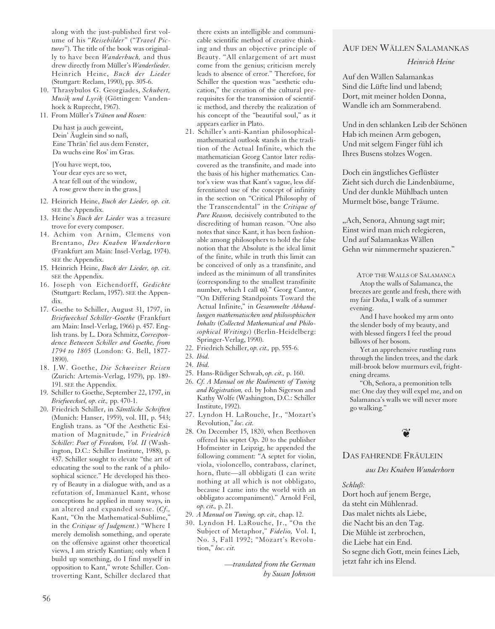along with the just-published first volume of his "*Reisebilder*" ("*Travel Pictures*"). The title of the book was originally to have been *Wanderbuch,* and thus drew directly from Müller's *Wanderlieder.* Heinrich Heine, *Buch der Lieder* (Stuttgart: Reclam, 1990), pp. 305-6.

- 10. Thrasybulos G. Georgiades, *Schubert, Musik und Lyrik* (Göttingen: Vandenhoek & Ruprecht, 1967).
- 11. From Müller's *Tränen und Rosen:*

Du hast ja auch geweint, Dein' Äuglein sind so naß, Eine Thrän' fiel aus dem Fenster, Da wuchs eine Ros' im Gras.

[You have wept, too, Your dear eyes are so wet, A tear fell out of the window, A rose grew there in the grass.]

- 12. Heinrich Heine, *Buch der Lieder, op. cit.* SEE the Appendix.
- 13. Heine's *Buch der Lieder* was a treasure trove for every composer.
- 14. Achim von Arnim, Clemens von Brentano, *Des Knaben Wunderhorn* (Frankfurt am Main: Insel-Verlag, 1974). SEE the Appendix.
- 15. Heinrich Heine, *Buch der Lieder, op. cit.* SEE the Appendix.
- 16. Joseph von Eichendorff, *Gedichte* (Stuttgart: Reclam, 1957). SEE the Appendix.
- 17. Goethe to Schiller, August 31, 1797, in *Briefwechsel Schiller-Goethe* (Frankfurt am Main: Insel-Verlag, 1966) p. 457. English trans. by L. Dora Schmitz, *Correspondence Between Schiller and Goethe, from 1794 to 1805* (London: G. Bell, 1877- 1890).
- 18. J.W. Goethe, *Die Schweizer Reisen* (Zurich: Artemis-Verlag, 1979), pp. 189- 191. SEE the Appendix.
- 19. Schiller to Goethe, September 22, 1797, in *Briefwechsel, op. cit.,* pp. 470-1.
- 20. Friedrich Schiller, in *Sämtliche Schriften* (Munich: Hanser, 1959), vol. III, p. 543; English trans. as "Of the Aesthetic Esimation of Magnitude," in *Friedrich Schiller: Poet of Freedom, Vol. II* (Washington, D.C.: Schiller Institute, 1988), p. 437. Schiller sought to elevate "the art of educating the soul to the rank of a philosophical science." He developed his theory of Beauty in a dialogue with, and as a refutation of, Immanuel Kant, whose conceptions he applied in many ways, in an altered and expanded sense. (*Cf.,* Kant, "On the Mathematical-Sublime," in the *Critique of Judgment.*) "Where I merely demolish something, and operate on the offensive against other theoretical views, I am strictly Kantian; only when I build up something, do I find myself in opposition to Kant," wrote Schiller. Controverting Kant, Schiller declared that

there exists an intelligible and communicable scientific method of creative thinking and thus an objective principle of Beauty. "All enlargement of art must come from the genius; criticism merely leads to absence of error." Therefore, for Schiller the question was "aesthetic education," the creation of the cultural prerequisites for the transmission of scientific method, and thereby the realization of his concept of the "beautiful soul," as it appears earlier in Plato.

- 21. Schiller's anti-Kantian philosophicalmathematical outlook stands in the tradition of the Actual Infinite, which the mathematician Georg Cantor later rediscovered as the transfinite, and made into the basis of his higher mathematics. Cantor's view was that Kant's vague, less differentiated use of the concept of infinity in the section on "Critical Philosophy of the Transcendental" in the *Critique of Pure Reason,* decisively contributed to the discrediting of human reason. "One also notes that since Kant, it has been fashionable among philosophers to hold the false notion that the Absolute is the ideal limit of the finite, while in truth this limit can be conceived of only as a transfinite, and indeed as the minimum of all transfinites (corresponding to the smallest transfinite number, which I call ω)." Georg Cantor, "On Differing Standpoints Toward the Actual Infinite," in *Gesammelte Abhandlungen mathematischen und philosophischen Inhalts* (*Collected Mathematical and Philosophical Writings*) (Berlin-Heidelberg: Springer-Verlag, 1990).
- 22. Friedrich Schiller, *op. cit.,* pp. 555-6.
- 23. *Ibid.*
- 24. *Ibid.*
- 25. Hans-Rüdiger Schwab, *op. cit.,* p. 160.
- 26. *Cf. A Manual on the Rudiments of Tuning and Registration,* ed. by John Sigerson and Kathy Wolfe (Washington, D.C.: Schiller Institute, 1992).
- 27. Lyndon H. LaRouche, Jr., "Mozart's Revolution," *loc. cit.*
- 28. On December 15, 1820, when Beethoven offered his septet Op. 20 to the publisher Hofmeister in Leipzig, he appended the following comment: "A septet for violin, viola, violoncello, contrabass, clarinet, horn, flute—all obbligati (I can write nothing at all which is not obbligato, because I came into the world with an obbligato accompaniment)." Arnold Feil, *op. cit.,* p. 21.
- 29. *A Manual on Tuning, op. cit.,* chap. 12.
- 30. Lyndon H. LaRouche, Jr., "On the Subject of Metaphor," *Fidelio,* Vol. I, No. 3, Fall 1992; "Mozart's Revolution," *loc. cit.*

*—translated from the German by Susan Johnson*

# AUF DEN WÄLLEN SALAMANKAS

*Heinrich Heine*

Auf den Wällen Salamankas Sind die Lüfte lind und labend; Dort, mit meiner holden Donna, Wandle ich am Sommerabend.

Und in den schlanken Leib der Schönen Hab ich meinen Arm gebogen, Und mit selgem Finger fühl ich Ihres Busens stolzes Wogen.

Doch ein ängstliches Geflüster Zieht sich durch die Lindenbäume, Und der dunkle Mühlbach unten Murmelt böse, bange Träume.

,,Ach, Senora, Ahnung sagt mir; Einst wird man mich relegieren, Und auf Salamankas Wällen Gehn wir nimmermehr spazieren."

ATOP THE WALLS OF SALAMANCA Atop the walls of Salamanca, the breezes are gentle and fresh, there with my fair Doña, I walk of a summer evening.

And I have hooked my arm onto the slender body of my beauty, and with blessed fingers I feel the proud billows of her bosom.

Yet an apprehensive rustling runs through the linden trees, and the dark mill-brook below murmurs evil, frightening dreams.

"Oh, Señora, a premonition tells me: One day they will expel me, and on Salamanca's walls we will never more go walking."



#### DAS FAHRENDE FRÄULEIN

*aus Des Knaben Wunderhorn*

*Schluß:*

Dort hoch auf jenem Berge, da steht ein Mühlenrad. Das malet nichts als Liebe, die Nacht bis an den Tag. Die Mühle ist zerbrochen, die Liebe hat ein End. So segne dich Gott, mein feines Lieb, jetzt fahr ich ins Elend.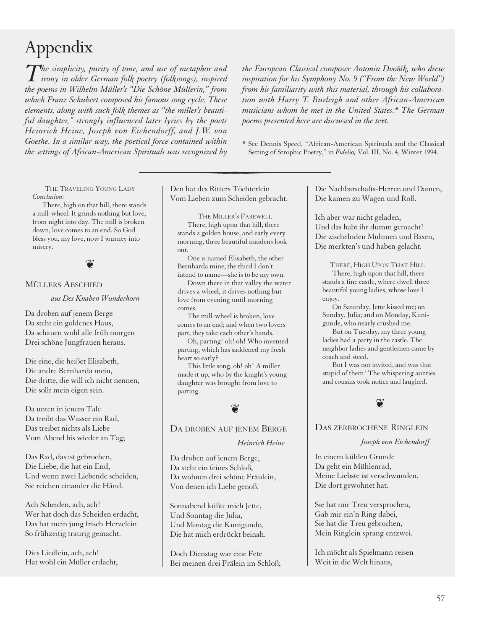# Appendix

*The simplicity, purity of tone, and use of metaphor and irony in older German folk poetry (folksongs), inspired the poems in Wilhelm Müller's "Die Schöne Müllerin," from which Franz Schubert composed his famous song cycle. These elements, along with such folk themes as "the miller's beautiful daughter," strongly influenced later lyrics by the poets Heinrich Heine, Joseph von Eichendorff, and J.W. von Goethe. In a similar way, the poetical force contained within the settings of African-American Spirituals was recognized by*

*the European Classical composer Antonin Dvorˇák, who drew inspiration for his Symphony No. 9 ("From the New World") from his familiarity with this material, through his collaboration with Harry T. Burleigh and other African-American musicians whom he met in the United States.\* The German poems presented here are discussed in the text.*

\* See Dennis Speed, "African-American Spirituals and the Classical Setting of Strophic Poetry," in *Fidelio,* Vol. III, No. 4, Winter 1994.

THE TRAVELING YOUNG LADY *Conclusion:*

There, high on that hill, there stands a mill-wheel. It grinds nothing but love, from night into day. The mill is broken down, love comes to an end. So God bless you, my love, now I journey into misery.



#### MÜLLERS ABSCHIED

*aus Des Knaben Wunderhorn*

Da droben auf jenem Berge Da steht ein goldenes Haus, Da schauen wohl alle früh morgen Drei schöne Jungfrauen heraus.

Die eine, die heißet Elisabeth, Die andre Bernharda mein, Die dritte, die will ich nicht nennen, Die sollt mein eigen sein.

Da unten in jenem Tale Da treibt das Wasser ein Rad, Das treibet nichts als Liebe Vom Abend bis wieder an Tag;

Das Rad, das ist gebrochen, Die Liebe, die hat ein End, Und wenn zwei Liebende scheiden, Sie reichen einander die Händ.

Ach Scheiden, ach, ach! Wer hat doch das Scheiden erdacht, Das hat mein jung frisch Herzelein So frühzeitig traurig gemacht.

Dies Liedlein, ach, ach! Hat wohl ein Müller erdacht, Den hat des Ritters Töchterlein Vom Lieben zum Scheiden gebracht.

THE MILLER'S FAREWELL There, high upon that hill, there stands a golden house, and early every morning, three beautiful maidens look out.

One is named Elisabeth, the other Bernharda mine, the third I don't intend to name—she is to be my own.

Down there in that valley the water drives a wheel, it drives nothing but love from evening until morning comes.

The mill-wheel is broken, love comes to an end; and when two lovers part, they take each other's hands.

Oh, parting! oh! oh! Who invented parting, which has saddened my fresh heart so early?

This little song, oh! oh! A miller made it up, who by the knight's young daughter was brought from love to parting.



DA DROBEN AUF JENEM BERGE

*Heinrich Heine*

Da droben auf jenem Berge, Da steht ein feines Schloß, Da wohnen drei schöne Fräulein, Von denen ich Liebe genoß.

Sonnabend küßte mich Jette, Und Sonntag die Julia, Und Montag die Kunigunde, Die hat mich erdrückt beinah.

Doch Dienstag war eine Fete Bei meinen drei Frälein im Schloß; Die Nachbarschafts-Herren und Damen, Die kamen zu Wagen und Roß.

Ich aber war nicht geladen, Und das habt ihr dumm gemacht! Die zischelnden Muhmen und Basen, Die merkten's und haben gelacht.

THERE, HIGH UPON THAT HILL There, high upon that hill, there stands a fine castle, where dwell three beautiful young ladies, whose love I enjoy.

On Saturday, Jette kissed me; on Sunday, Julia; and on Monday, Kunigunde, who nearly crushed me.

But on Tuesday, my three young ladies had a party in the castle. The neighbor ladies and gentlemen came by coach and steed.

But I was not invited, and was that stupid of them! The whispering aunties and cousins took notice and laughed.



#### DAS ZERBROCHENE RINGLEIN

*Joseph von Eichendorff*

In einem kühlen Grunde Da geht ein Mühlenrad, Meine Liebste ist verschwunden, Die dort gewohnet hat.

Sie hat mir Treu versprochen, Gab mir ein'n Ring dabei, Sie hat die Treu gebrochen, Mein Ringlein sprang entzwei.

Ich möcht als Spielmann reisen Weit in die Welt hinaus,